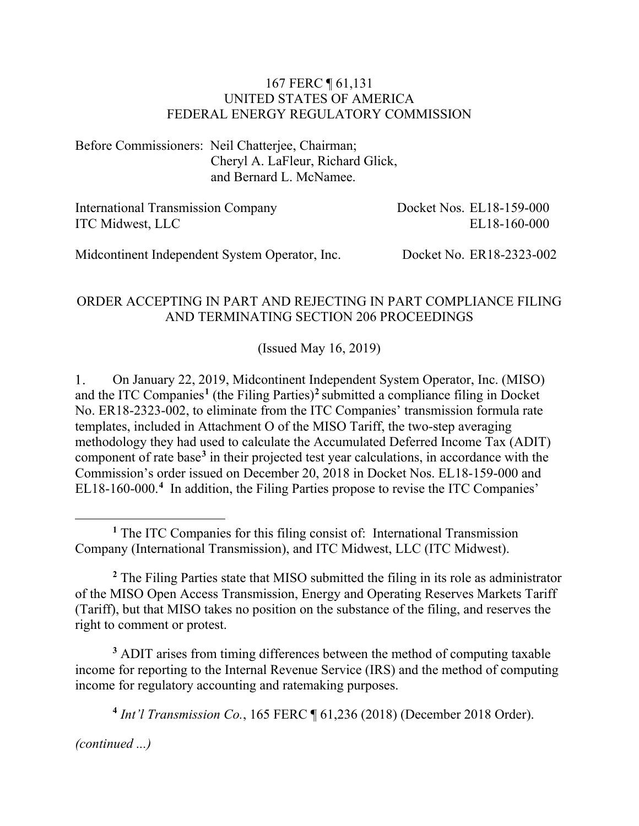#### 167 FERC ¶ 61,131 UNITED STATES OF AMERICA FEDERAL ENERGY REGULATORY COMMISSION

Before Commissioners: Neil Chatterjee, Chairman; Cheryl A. LaFleur, Richard Glick, and Bernard L. McNamee.

| <b>International Transmission Company</b> | Docket Nos. EL18-159-000 |
|-------------------------------------------|--------------------------|
| <b>ITC Midwest, LLC</b>                   | EL18-160-000             |
|                                           |                          |

Midcontinent Independent System Operator, Inc.

Docket No. ER18-2323-002

#### ORDER ACCEPTING IN PART AND REJECTING IN PART COMPLIANCE FILING AND TERMINATING SECTION 206 PROCEEDINGS

(Issued May 16, 2019)

1. On January 22, 2019, Midcontinent Independent System Operator, Inc. (MISO) and the ITC Companies**[1](#page-0-0)** (the Filing Parties) **[2](#page-0-1)** submitted a compliance filing in Docket No. ER18-2323-002, to eliminate from the ITC Companies' transmission formula rate templates, included in Attachment O of the MISO Tariff, the two-step averaging methodology they had used to calculate the Accumulated Deferred Income Tax (ADIT) component of rate base**[3](#page-0-2)** in their projected test year calculations, in accordance with the Commission's order issued on December 20, 2018 in Docket Nos. EL18-159-000 and EL18-160-000. **[4](#page-0-3)** In addition, the Filing Parties propose to revise the ITC Companies'

<span id="page-0-2"></span>**<sup>3</sup>** ADIT arises from timing differences between the method of computing taxable income for reporting to the Internal Revenue Service (IRS) and the method of computing income for regulatory accounting and ratemaking purposes.

**<sup>4</sup>** *Int'l Transmission Co.*, 165 FERC ¶ 61,236 (2018) (December 2018 Order).

<span id="page-0-3"></span>*(continued ...)*

<span id="page-0-0"></span> $\overline{a}$ **<sup>1</sup>** The ITC Companies for this filing consist of: International Transmission Company (International Transmission), and ITC Midwest, LLC (ITC Midwest).

<span id="page-0-1"></span>**<sup>2</sup>** The Filing Parties state that MISO submitted the filing in its role as administrator of the MISO Open Access Transmission, Energy and Operating Reserves Markets Tariff (Tariff), but that MISO takes no position on the substance of the filing, and reserves the right to comment or protest.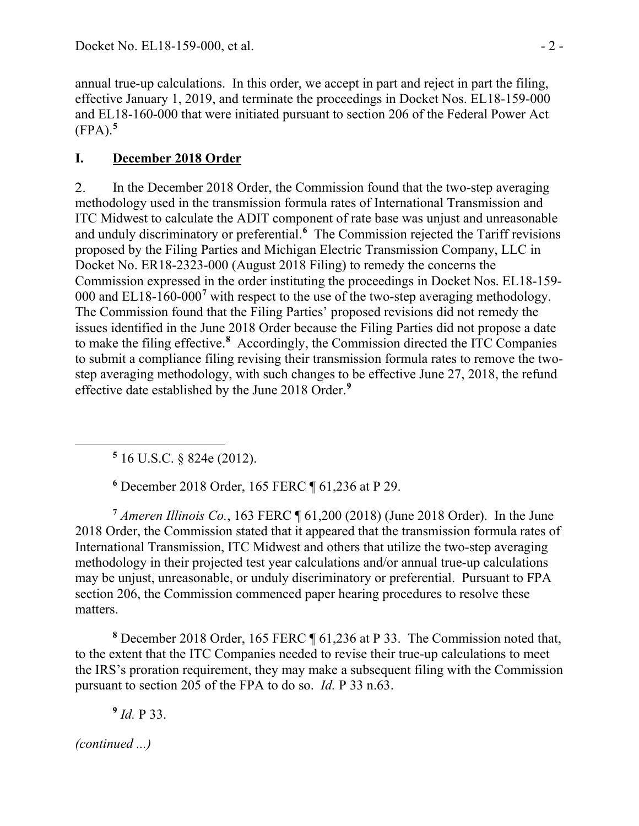annual true-up calculations. In this order, we accept in part and reject in part the filing, effective January 1, 2019, and terminate the proceedings in Docket Nos. EL18-159-000 and EL18-160-000 that were initiated pursuant to section 206 of the Federal Power Act (FPA).**[5](#page-1-0)**

#### **I. December 2018 Order**

2. In the December 2018 Order, the Commission found that the two-step averaging methodology used in the transmission formula rates of International Transmission and ITC Midwest to calculate the ADIT component of rate base was unjust and unreasonable and unduly discriminatory or preferential.**[6](#page-1-1)** The Commission rejected the Tariff revisions proposed by the Filing Parties and Michigan Electric Transmission Company, LLC in Docket No. ER18-2323-000 (August 2018 Filing) to remedy the concerns the Commission expressed in the order instituting the proceedings in Docket Nos. EL18-159- 000 and EL18-160-000**[7](#page-1-2)** with respect to the use of the two-step averaging methodology. The Commission found that the Filing Parties' proposed revisions did not remedy the issues identified in the June 2018 Order because the Filing Parties did not propose a date to make the filing effective. **[8](#page-1-3)** Accordingly, the Commission directed the ITC Companies to submit a compliance filing revising their transmission formula rates to remove the twostep averaging methodology, with such changes to be effective June 27, 2018, the refund effective date established by the June 2018 Order.**[9](#page-1-4)**

**<sup>5</sup>** 16 U.S.C. § 824e (2012).

**<sup>6</sup>** December 2018 Order, 165 FERC ¶ 61,236 at P 29.

<span id="page-1-2"></span><span id="page-1-1"></span>**<sup>7</sup>** *Ameren Illinois Co.*, 163 FERC ¶ 61,200 (2018) (June 2018 Order). In the June 2018 Order, the Commission stated that it appeared that the transmission formula rates of International Transmission, ITC Midwest and others that utilize the two-step averaging methodology in their projected test year calculations and/or annual true-up calculations may be unjust, unreasonable, or unduly discriminatory or preferential. Pursuant to FPA section 206, the Commission commenced paper hearing procedures to resolve these matters.

<span id="page-1-3"></span>**<sup>8</sup>** December 2018 Order, 165 FERC ¶ 61,236 at P 33. The Commission noted that, to the extent that the ITC Companies needed to revise their true-up calculations to meet the IRS's proration requirement, they may make a subsequent filing with the Commission pursuant to section 205 of the FPA to do so. *Id.* P 33 n.63.

**<sup>9</sup>** *Id.* P 33.

<span id="page-1-4"></span>*(continued ...)*

<span id="page-1-0"></span> $\overline{a}$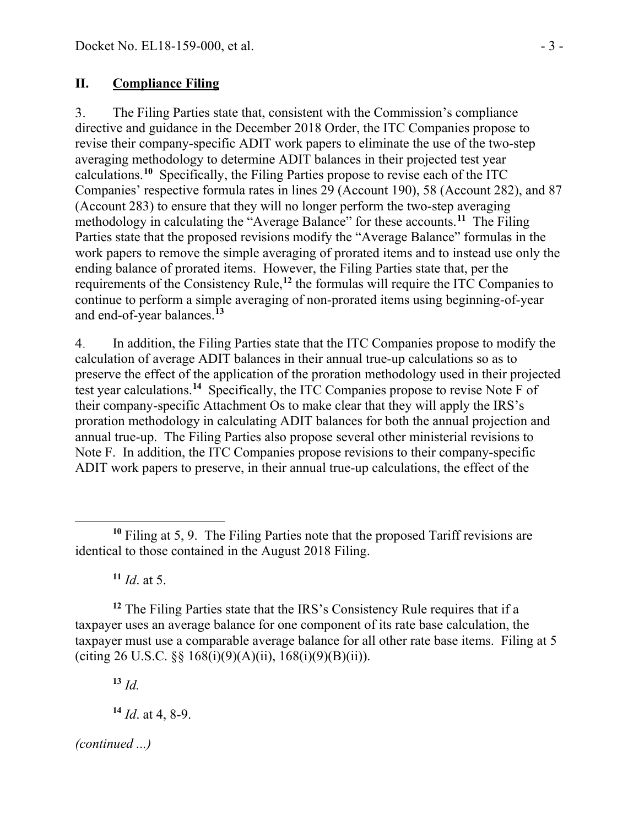#### **II. Compliance Filing**

The Filing Parties state that, consistent with the Commission's compliance  $\overline{3}$ . directive and guidance in the December 2018 Order, the ITC Companies propose to revise their company-specific ADIT work papers to eliminate the use of the two-step averaging methodology to determine ADIT balances in their projected test year calculations.**[10](#page-2-0)** Specifically, the Filing Parties propose to revise each of the ITC Companies' respective formula rates in lines 29 (Account 190), 58 (Account 282), and 87 (Account 283) to ensure that they will no longer perform the two-step averaging methodology in calculating the "Average Balance" for these accounts.**[11](#page-2-1)** The Filing Parties state that the proposed revisions modify the "Average Balance" formulas in the work papers to remove the simple averaging of prorated items and to instead use only the ending balance of prorated items. However, the Filing Parties state that, per the requirements of the Consistency Rule,**[12](#page-2-2)** the formulas will require the ITC Companies to continue to perform a simple averaging of non-prorated items using beginning-of-year and end-of-year balances.**[13](#page-2-3)**

In addition, the Filing Parties state that the ITC Companies propose to modify the  $\overline{4}$ . calculation of average ADIT balances in their annual true-up calculations so as to preserve the effect of the application of the proration methodology used in their projected test year calculations.**[14](#page-2-4)** Specifically, the ITC Companies propose to revise Note F of their company-specific Attachment Os to make clear that they will apply the IRS's proration methodology in calculating ADIT balances for both the annual projection and annual true-up. The Filing Parties also propose several other ministerial revisions to Note F. In addition, the ITC Companies propose revisions to their company-specific ADIT work papers to preserve, in their annual true-up calculations, the effect of the

 $11$  *Id.* at 5.

<span id="page-2-2"></span><span id="page-2-1"></span>**<sup>12</sup>** The Filing Parties state that the IRS's Consistency Rule requires that if a taxpayer uses an average balance for one component of its rate base calculation, the taxpayer must use a comparable average balance for all other rate base items. Filing at 5 (citing 26 U.S.C. §§  $168(i)(9)(A)(ii)$ ,  $168(i)(9)(B)(ii)$ ).

**<sup>13</sup>** *Id.*

**<sup>14</sup>** *Id*. at 4, 8-9.

<span id="page-2-4"></span><span id="page-2-3"></span>*(continued ...)*

<span id="page-2-0"></span> $\overline{a}$ **<sup>10</sup>** Filing at 5, 9. The Filing Parties note that the proposed Tariff revisions are identical to those contained in the August 2018 Filing.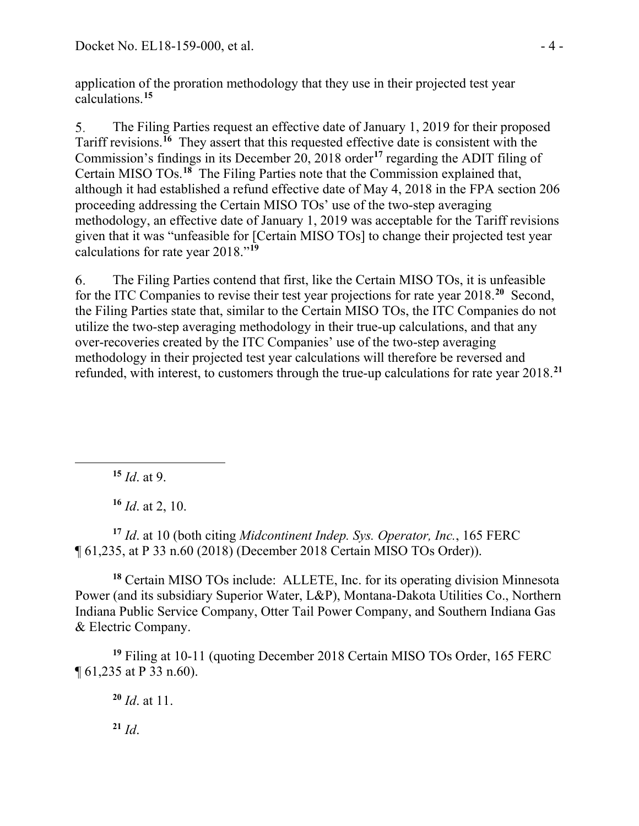application of the proration methodology that they use in their projected test year calculations. **[15](#page-3-0)**

The Filing Parties request an effective date of January 1, 2019 for their proposed 5. Tariff revisions.**[16](#page-3-1)** They assert that this requested effective date is consistent with the Commission's findings in its December 20, 2018 order**[17](#page-3-2)** regarding the ADIT filing of Certain MISO TOs. **[18](#page-3-3)** The Filing Parties note that the Commission explained that, although it had established a refund effective date of May 4, 2018 in the FPA section 206 proceeding addressing the Certain MISO TOs' use of the two-step averaging methodology, an effective date of January 1, 2019 was acceptable for the Tariff revisions given that it was "unfeasible for [Certain MISO TOs] to change their projected test year calculations for rate year 2018."**[19](#page-3-4)**

The Filing Parties contend that first, like the Certain MISO TOs, it is unfeasible 6. for the ITC Companies to revise their test year projections for rate year 2018.**[20](#page-3-5)** Second, the Filing Parties state that, similar to the Certain MISO TOs, the ITC Companies do not utilize the two-step averaging methodology in their true-up calculations, and that any over-recoveries created by the ITC Companies' use of the two-step averaging methodology in their projected test year calculations will therefore be reversed and refunded, with interest, to customers through the true-up calculations for rate year 2018.**[21](#page-3-6)**

**<sup>15</sup>** *Id*. at 9.

<span id="page-3-0"></span> $\overline{a}$ 

**<sup>16</sup>** *Id*. at 2, 10.

<span id="page-3-2"></span><span id="page-3-1"></span>**<sup>17</sup>** *Id*. at 10 (both citing *Midcontinent Indep. Sys. Operator, Inc.*, 165 FERC ¶ 61,235, at P 33 n.60 (2018) (December 2018 Certain MISO TOs Order)).

<span id="page-3-3"></span>**<sup>18</sup>** Certain MISO TOs include: ALLETE, Inc. for its operating division Minnesota Power (and its subsidiary Superior Water, L&P), Montana-Dakota Utilities Co., Northern Indiana Public Service Company, Otter Tail Power Company, and Southern Indiana Gas & Electric Company.

<span id="page-3-6"></span><span id="page-3-5"></span><span id="page-3-4"></span>**<sup>19</sup>** Filing at 10-11 (quoting December 2018 Certain MISO TOs Order, 165 FERC ¶ 61,235 at P 33 n.60).

**<sup>20</sup>** *Id*. at 11.

 $^{21}$  *Id.*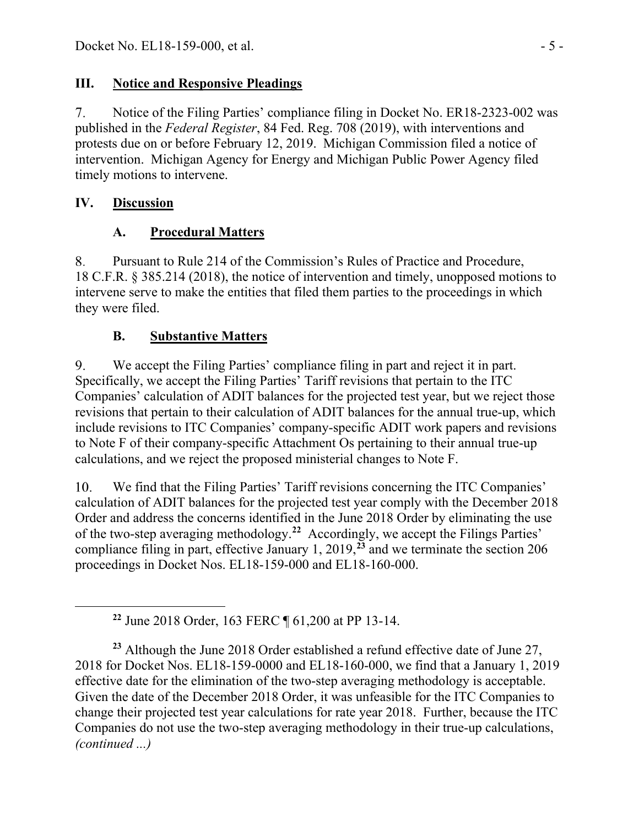### **III. Notice and Responsive Pleadings**

 $7<sub>1</sub>$ Notice of the Filing Parties' compliance filing in Docket No. ER18-2323-002 was published in the *Federal Register*, 84 Fed. Reg. 708 (2019), with interventions and protests due on or before February 12, 2019. Michigan Commission filed a notice of intervention. Michigan Agency for Energy and Michigan Public Power Agency filed timely motions to intervene.

### **IV. Discussion**

<span id="page-4-0"></span> $\overline{a}$ 

# **A. Procedural Matters**

8. Pursuant to Rule 214 of the Commission's Rules of Practice and Procedure, 18 C.F.R. § 385.214 (2018), the notice of intervention and timely, unopposed motions to intervene serve to make the entities that filed them parties to the proceedings in which they were filed.

## **B. Substantive Matters**

9. We accept the Filing Parties' compliance filing in part and reject it in part. Specifically, we accept the Filing Parties' Tariff revisions that pertain to the ITC Companies' calculation of ADIT balances for the projected test year, but we reject those revisions that pertain to their calculation of ADIT balances for the annual true-up, which include revisions to ITC Companies' company-specific ADIT work papers and revisions to Note F of their company-specific Attachment Os pertaining to their annual true-up calculations, and we reject the proposed ministerial changes to Note F.

We find that the Filing Parties' Tariff revisions concerning the ITC Companies'  $10.$ calculation of ADIT balances for the projected test year comply with the December 2018 Order and address the concerns identified in the June 2018 Order by eliminating the use of the two-step averaging methodology.**[22](#page-4-0)** Accordingly, we accept the Filings Parties' compliance filing in part, effective January 1, 2019,**[23](#page-4-1)** and we terminate the section 206 proceedings in Docket Nos. EL18-159-000 and EL18-160-000.

**<sup>22</sup>** June 2018 Order, 163 FERC ¶ 61,200 at PP 13-14.

<span id="page-4-1"></span>**<sup>23</sup>** Although the June 2018 Order established a refund effective date of June 27, 2018 for Docket Nos. EL18-159-0000 and EL18-160-000, we find that a January 1, 2019 effective date for the elimination of the two-step averaging methodology is acceptable. Given the date of the December 2018 Order, it was unfeasible for the ITC Companies to change their projected test year calculations for rate year 2018. Further, because the ITC Companies do not use the two-step averaging methodology in their true-up calculations, *(continued ...)*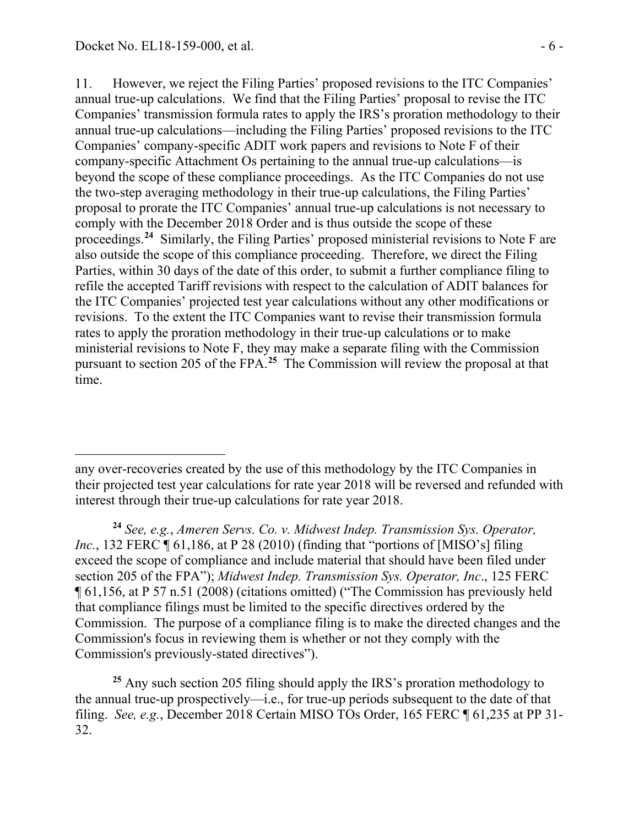$11.$ However, we reject the Filing Parties' proposed revisions to the ITC Companies' annual true-up calculations. We find that the Filing Parties' proposal to revise the ITC Companies' transmission formula rates to apply the IRS's proration methodology to their annual true-up calculations—including the Filing Parties' proposed revisions to the ITC Companies' company-specific ADIT work papers and revisions to Note F of their company-specific Attachment Os pertaining to the annual true-up calculations—is beyond the scope of these compliance proceedings. As the ITC Companies do not use the two-step averaging methodology in their true-up calculations, the Filing Parties' proposal to prorate the ITC Companies' annual true-up calculations is not necessary to comply with the December 2018 Order and is thus outside the scope of these proceedings. **[24](#page-5-0)** Similarly, the Filing Parties' proposed ministerial revisions to Note F are also outside the scope of this compliance proceeding. Therefore, we direct the Filing Parties, within 30 days of the date of this order, to submit a further compliance filing to refile the accepted Tariff revisions with respect to the calculation of ADIT balances for the ITC Companies' projected test year calculations without any other modifications or revisions. To the extent the ITC Companies want to revise their transmission formula rates to apply the proration methodology in their true-up calculations or to make ministerial revisions to Note F, they may make a separate filing with the Commission pursuant to section 205 of the FPA.**[25](#page-5-1)** The Commission will review the proposal at that time.

 any over-recoveries created by the use of this methodology by the ITC Companies in their projected test year calculations for rate year 2018 will be reversed and refunded with interest through their true-up calculations for rate year 2018.

<span id="page-5-0"></span>**<sup>24</sup>** *See, e.g.*, *Ameren Servs. Co. v. Midwest Indep. Transmission Sys. Operator, Inc.*, 132 FERC **[61,186, at P 28 (2010)** (finding that "portions of [MISO's] filing exceed the scope of compliance and include material that should have been filed under section 205 of the FPA"); *[Midwest Indep. Transmission Sys. Operator, Inc](http://www.westlaw.com/Link/Document/FullText?findType=Y&serNum=2017431897&pubNum=0000920&originatingDoc=I46be92ebef1e11e5a795ac035416da91&refType=CA&originationContext=document&vr=3.0&rs=cblt1.0&transitionType=DocumentItem&contextData=(sc.Search))*., 125 FERC ¶ [61,156,](http://www.westlaw.com/Link/Document/FullText?findType=Y&serNum=2017431897&pubNum=0000920&originatingDoc=I46be92ebef1e11e5a795ac035416da91&refType=CA&originationContext=document&vr=3.0&rs=cblt1.0&transitionType=DocumentItem&contextData=(sc.Search)) at P 57 n.51 (2008) (citations omitted) ("The Commission has previously held that compliance filings must be limited to the specific directives ordered by the Commission. The purpose of a compliance filing is to make the directed changes and the Commission's focus in reviewing them is whether or not they comply with the Commission's previously-stated directives").

<span id="page-5-1"></span><sup>&</sup>lt;sup>25</sup> Any such section 205 filing should apply the IRS's proration methodology to the annual true-up prospectively—i.e., for true-up periods subsequent to the date of that filing. *See, e.g.*, December 2018 Certain MISO TOs Order, 165 FERC ¶ 61,235 at PP 31- 32.